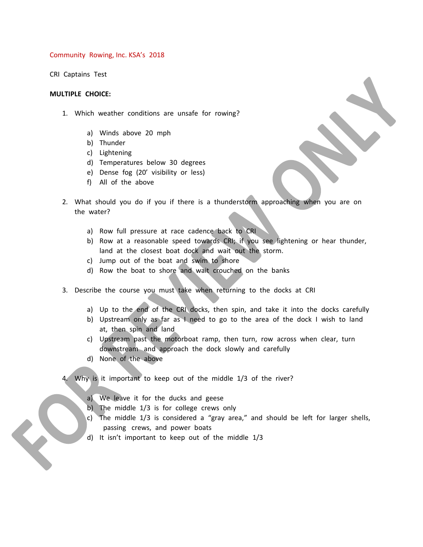Community Rowing, Inc. KSA's 2018

CRI Captains Test

## **MULTIPLE CHOICE:**

- 1. Which weather conditions are unsafe for rowing?
	- a) Winds above 20 mph
	- b) Thunder
	- c) Lightening
	- d) Temperatures below 30 degrees
	- e) Dense fog (20' visibility or less)
	- f) All of the above
- 2. What should you do if you if there is a thunderstorm approaching when you are on the water?
	- a) Row full pressure at race cadence back to CRI
	- b) Row at a reasonable speed towards CRI; if you see lightening or hear thunder, land at the closest boat dock and wait out the storm.

 $\sum_{i=1}^{n}$ 

- c) Jump out of the boat and swim to shore
- d) Row the boat to shore and wait crouched on the banks
- 3. Describe the course you must take when returning to the docks at CRI
	- a) Up to the end of the CRI docks, then spin, and take it into the docks carefully
	- b) Upstream only as far as I need to go to the area of the dock I wish to land at, then spin and land
	- c) Upstream past the motorboat ramp, then turn, row across when clear, turn downstream and approach the dock slowly and carefully
	- d) None of the above
- Why is it important to keep out of the middle 1/3 of the river?
	- a) We leave it for the ducks and geese
	- b) The middle 1/3 is for college crews only
	- c) The middle 1/3 is considered a "gray area," and should be left for larger shells, passing crews, and power boats
	- d) It isn't important to keep out of the middle 1/3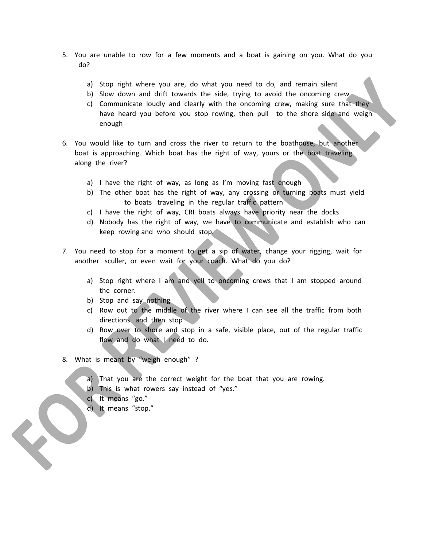- 5. You are unable to row for a few moments and a boat is gaining on you. What do you do?
	- a) Stop right where you are, do what you need to do, and remain silent
	- b) Slow down and drift towards the side, trying to avoid the oncoming crew
	- c) Communicate loudly and clearly with the oncoming crew, making sure that they have heard you before you stop rowing, then pull to the shore side and weigh enough
- 6. You would like to turn and cross the river to return to the boathouse, but another boat is approaching. Which boat has the right of way, yours or the boat traveling along the river?
	- a) I have the right of way, as long as I'm moving fast enough
	- b) The other boat has the right of way, any crossing or turning boats must yield to boats traveling in the regular traffic pattern
	- c) I have the right of way, CRI boats always have priority near the docks
	- d) Nobody has the right of way, we have to communicate and establish who can keep rowing and who should stop.
- 7. You need to stop for a moment to get a sip of water, change your rigging, wait for another sculler, or even wait for your coach. What do you do?
	- a) Stop right where I am and yell to oncoming crews that I am stopped around the corner.
	- b) Stop and say nothing
	- c) Row out to the middle of the river where I can see all the traffic from both directions and then stop
	- d) Row over to shore and stop in a safe, visible place, out of the regular traffic flow and do what I need to do.
- 8. What is meant by "weigh enough" ?
	- a) That you are the correct weight for the boat that you are rowing.
	- b) This is what rowers say instead of "yes."
	- c) It means "go."
	- d) It means "stop."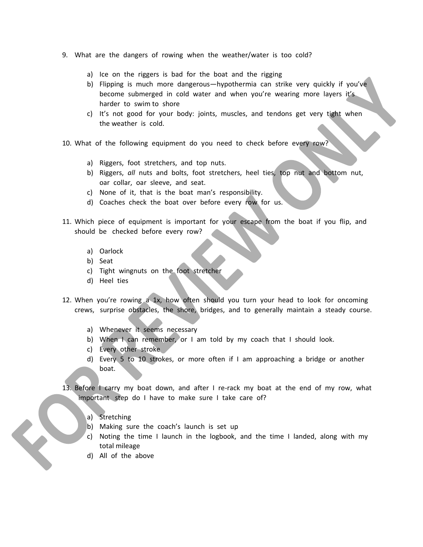- 9. What are the dangers of rowing when the weather/water is too cold?
	- a) Ice on the riggers is bad for the boat and the rigging
	- b) Flipping is much more dangerous—hypothermia can strike very quickly if you've become submerged in cold water and when you're wearing more layers it's harder to swim to shore
	- c) It's not good for your body: joints, muscles, and tendons get very tight when the weather is cold.
- 10. What of the following equipment do you need to check before every row?
	- a) Riggers, foot stretchers, and top nuts.
	- b) Riggers, *all* nuts and bolts, foot stretchers, heel ties, top nut and bottom nut, oar collar, oar sleeve, and seat.
	- c) None of it, that is the boat man's responsibility.
	- d) Coaches check the boat over before every row for us.
- 11. Which piece of equipment is important for your escape from the boat if you flip, and should be checked before every row?
	- a) Oarlock
	- b) Seat
	- c) Tight wingnuts on the foot stretcher
	- d) Heel ties
- 12. When you're rowing a 1x, how often should you turn your head to look for oncoming crews, surprise obstacles, the shore, bridges, and to generally maintain a steady course.
	- a) Whenever it seems necessary
	- b) When I can remember, or I am told by my coach that I should look.
	- c) Every other stroke
	- d) Every 5 to 10 strokes, or more often if I am approaching a bridge or another boat.
- 13. Before I carry my boat down, and after I re-rack my boat at the end of my row, what important step do I have to make sure I take care of?
	- a) Stretching
	- b) Making sure the coach's launch is set up
	- c) Noting the time I launch in the logbook, and the time I landed, along with my total mileage
	- d) All of the above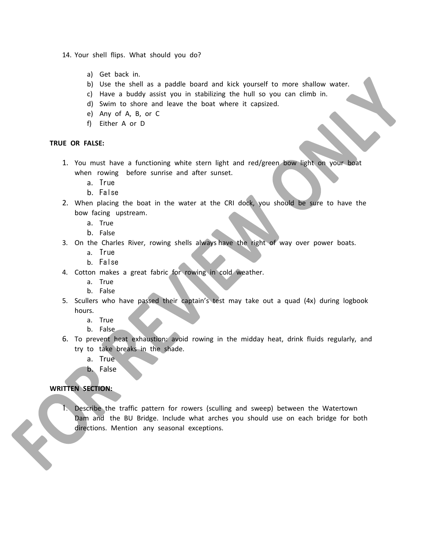14. Your shell flips. What should you do?

- a) Get back in.
- b) Use the shell as a paddle board and kick yourself to more shallow water.
- c) Have a buddy assist you in stabilizing the hull so you can climb in.
- d) Swim to shore and leave the boat where it capsized.
- e) Any of A, B, or C
- f) Either A or D

## **TRUE OR FALSE:**

- 1. You must have a functioning white stern light and red/green bow light on your boat when rowing before sunrise and after sunset.
	- a. True
	- b. False
- 2. When placing the boat in the water at the CRI dock, you should be sure to have the bow facing upstream.
	- a. True
	- b. False
- 3. On the Charles River, rowing shells always have the right of way over power boats.
	- a. True
	- b. False
- 4. Cotton makes a great fabric for rowing in cold weather.
	- a. True
	- b. False
- 5. Scullers who have passed their captain's test may take out a quad (4x) during logbook hours.
	- a. True
	- b. False
- 6. To prevent heat exhaustion: avoid rowing in the midday heat, drink fluids regularly, and try to take breaks in the shade.
	- a. True
	- b. False

## **WRITTEN SECTION:**

1. Describe the traffic pattern for rowers (sculling and sweep) between the Watertown Dam and the BU Bridge. Include what arches you should use on each bridge for both directions. Mention any seasonal exceptions.